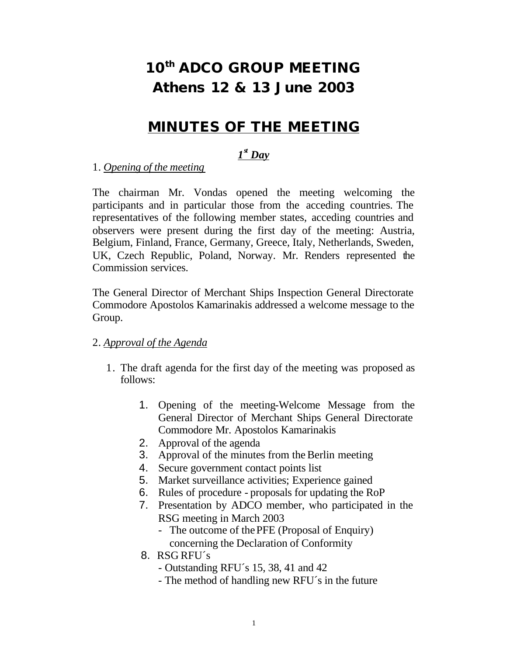# **10th ADCO GROUP MEETING Athens 12 & 13 June 2003**

# *MINUTES OF THE MEETING*

# *1 st Day*

### 1. *Opening of the meeting*

The chairman Mr. Vondas opened the meeting welcoming the participants and in particular those from the acceding countries. The representatives of the following member states, acceding countries and observers were present during the first day of the meeting: Austria, Belgium, Finland, France, Germany, Greece, Italy, Netherlands, Sweden, UK, Czech Republic, Poland, Norway. Mr. Renders represented the Commission services.

The General Director of Merchant Ships Inspection General Directorate Commodore Apostolos Kamarinakis addressed a welcome message to the Group.

### 2. *Approval of the Agenda*

- 1. The draft agenda for the first day of the meeting was proposed as follows:
	- 1. Opening of the meeting-Welcome Message from the General Director of Merchant Ships General Directorate Commodore Mr. Apostolos Kamarinakis
	- 2. Approval of the agenda
	- 3. Approval of the minutes from the Berlin meeting
	- 4. Secure government contact points list
	- 5. Market surveillance activities; Experience gained
	- 6. Rules of procedure proposals for updating the RoP
	- 7. Presentation by ADCO member, who participated in the RSG meeting in March 2003
		- The outcome of the PFE (Proposal of Enquiry) concerning the Declaration of Conformity
	- 8. RSG RFU´s
		- Outstanding RFU´s 15, 38, 41 and 42
		- The method of handling new RFU´s in the future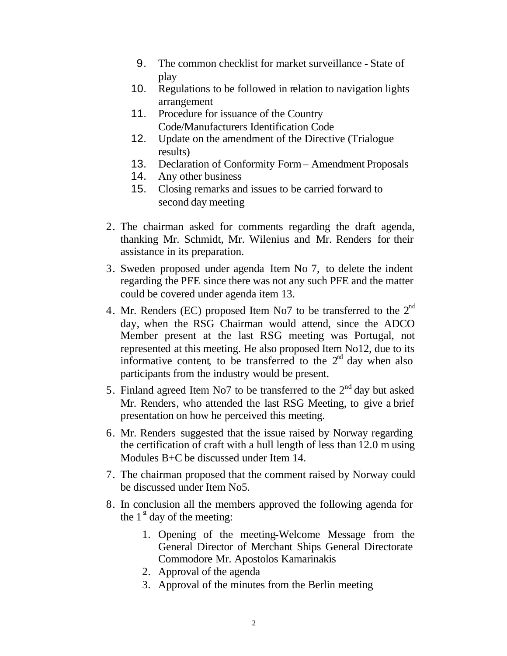- 9. The common checklist for market surveillance State of play
- 10. Regulations to be followed in relation to navigation lights arrangement
- 11. Procedure for issuance of the Country Code/Manufacturers Identification Code
- 12. Update on the amendment of the Directive (Trialogue results)
- 13. Declaration of Conformity Form Amendment Proposals
- 14. Any other business
- 15. Closing remarks and issues to be carried forward to second day meeting
- 2. The chairman asked for comments regarding the draft agenda, thanking Mr. Schmidt, Mr. Wilenius and Mr. Renders for their assistance in its preparation.
- 3. Sweden proposed under agenda Item No 7, to delete the indent regarding the PFE since there was not any such PFE and the matter could be covered under agenda item 13.
- 4. Mr. Renders (EC) proposed Item No7 to be transferred to the  $2<sup>nd</sup>$ day, when the RSG Chairman would attend, since the ADCO Member present at the last RSG meeting was Portugal, not represented at this meeting. He also proposed Item No12, due to its informative content, to be transferred to the  $2<sup>nd</sup>$  day when also participants from the industry would be present.
- 5. Finland agreed Item No7 to be transferred to the  $2<sup>nd</sup>$  day but asked Mr. Renders, who attended the last RSG Meeting, to give a brief presentation on how he perceived this meeting.
- 6. Mr. Renders suggested that the issue raised by Norway regarding the certification of craft with a hull length of less than 12.0 m using Modules B+C be discussed under Item 14.
- 7. The chairman proposed that the comment raised by Norway could be discussed under Item No5.
- 8. In conclusion all the members approved the following agenda for the  $1<sup>s</sup>$  day of the meeting:
	- 1. Opening of the meeting-Welcome Message from the General Director of Merchant Ships General Directorate Commodore Mr. Apostolos Kamarinakis
	- 2. Approval of the agenda
	- 3. Approval of the minutes from the Berlin meeting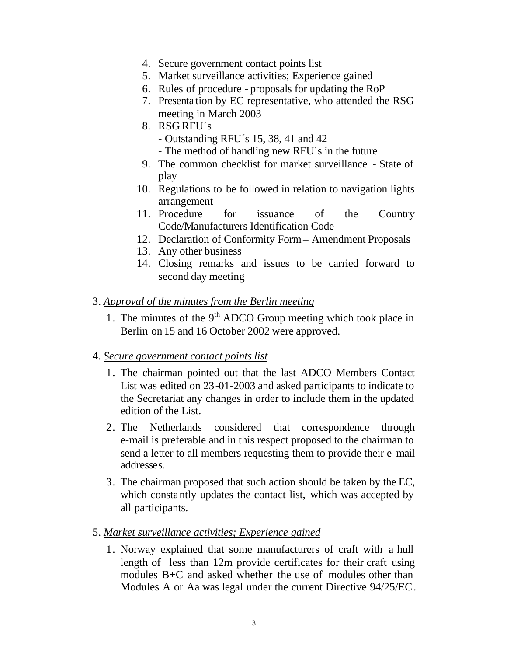- 4. Secure government contact points list
- 5. Market surveillance activities; Experience gained
- 6. Rules of procedure proposals for updating the RoP
- 7. Presenta tion by EC representative, who attended the RSG meeting in March 2003
- 8. RSG RFU´s
	- Outstanding RFU´s 15, 38, 41 and 42
	- The method of handling new RFU´s in the future
- 9. The common checklist for market surveillance State of play
- 10. Regulations to be followed in relation to navigation lights arrangement
- 11. Procedure for issuance of the Country Code/Manufacturers Identification Code
- 12. Declaration of Conformity Form Amendment Proposals
- 13. Any other business
- 14. Closing remarks and issues to be carried forward to second day meeting
- 3. *Approval of the minutes from the Berlin meeting*
	- 1. The minutes of the  $9<sup>th</sup>$  ADCO Group meeting which took place in Berlin on 15 and 16 October 2002 were approved.

#### 4. *Secure government contact points list*

- 1. The chairman pointed out that the last ADCO Members Contact List was edited on 23-01-2003 and asked participants to indicate to the Secretariat any changes in order to include them in the updated edition of the List.
- 2. The Netherlands considered that correspondence through e-mail is preferable and in this respect proposed to the chairman to send a letter to all members requesting them to provide their e-mail addresses.
- 3. The chairman proposed that such action should be taken by the EC, which constantly updates the contact list, which was accepted by all participants.
- 5. *Market surveillance activities; Experience gained* 
	- 1. Norway explained that some manufacturers of craft with a hull length of less than 12m provide certificates for their craft using modules B+C and asked whether the use of modules other than Modules A or Aa was legal under the current Directive 94/25/EC.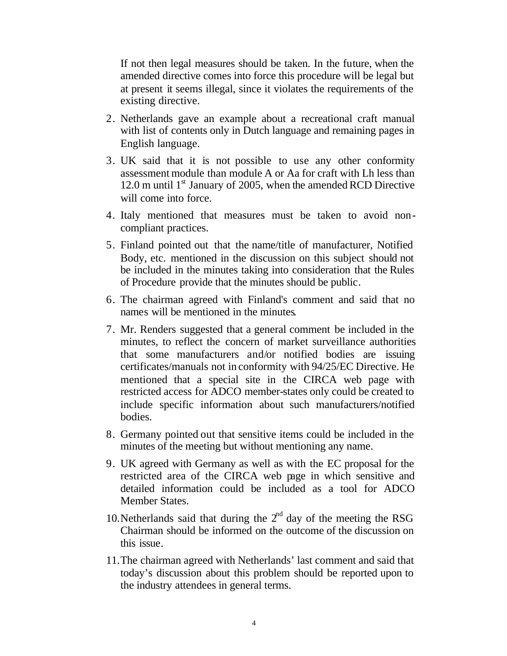If not then legal measures should be taken. In the future, when the amended directive comes into force this procedure will be legal but at present it seems illegal, since it violates the requirements of the existing directive.

- 2. Netherlands gave an example about a recreational craft manual with list of contents only in Dutch language and remaining pages in English language.
- 3. UK said that it is not possible to use any other conformity assessment module than module A or Aa for craft with Lh less than 12.0 m until  $1<sup>st</sup>$  January of 2005, when the amended RCD Directive will come into force.
- 4. Italy mentioned that measures must be taken to avoid noncompliant practices.
- 5. Finland pointed out that the name/title of manufacturer, Notified Body, etc. mentioned in the discussion on this subject should not be included in the minutes taking into consideration that the Rules of Procedure provide that the minutes should be public.
- 6. The chairman agreed with Finland's comment and said that no names will be mentioned in the minutes.
- 7. Mr. Renders suggested that a general comment be included in the minutes, to reflect the concern of market surveillance authorities that some manufacturers and/or notified bodies are issuing certificates/manuals not in conformity with 94/25/EC Directive. He mentioned that a special site in the CIRCA web page with restricted access for ADCO member-states only could be created to include specific information about such manufacturers/notified bodies.
- 8. Germany pointed out that sensitive items could be included in the minutes of the meeting but without mentioning any name.
- 9. UK agreed with Germany as well as with the EC proposal for the restricted area of the CIRCA web page in which sensitive and detailed information could be included as a tool for ADCO Member States.
- 10. Netherlands said that during the  $2<sup>nd</sup>$  day of the meeting the RSG Chairman should be informed on the outcome of the discussion on this issue.
- 11.The chairman agreed with Netherlands' last comment and said that today's discussion about this problem should be reported upon to the industry attendees in general terms.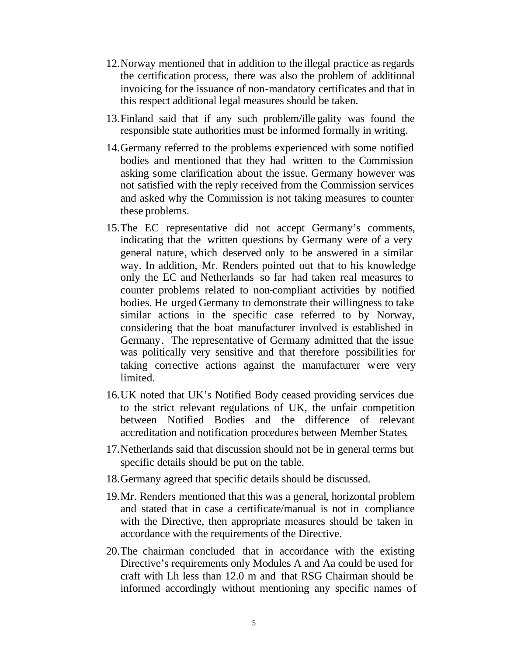- 12.Norway mentioned that in addition to the illegal practice as regards the certification process, there was also the problem of additional invoicing for the issuance of non-mandatory certificates and that in this respect additional legal measures should be taken.
- 13.Finland said that if any such problem/ille gality was found the responsible state authorities must be informed formally in writing.
- 14.Germany referred to the problems experienced with some notified bodies and mentioned that they had written to the Commission asking some clarification about the issue. Germany however was not satisfied with the reply received from the Commission services and asked why the Commission is not taking measures to counter these problems.
- 15.The EC representative did not accept Germany's comments, indicating that the written questions by Germany were of a very general nature, which deserved only to be answered in a similar way. In addition, Mr. Renders pointed out that to his knowledge only the EC and Netherlands so far had taken real measures to counter problems related to non-compliant activities by notified bodies. He urged Germany to demonstrate their willingness to take similar actions in the specific case referred to by Norway, considering that the boat manufacturer involved is established in Germany. The representative of Germany admitted that the issue was politically very sensitive and that therefore possibilities for taking corrective actions against the manufacturer were very limited.
- 16.UK noted that UK's Notified Body ceased providing services due to the strict relevant regulations of UK, the unfair competition between Notified Bodies and the difference of relevant accreditation and notification procedures between Member States.
- 17.Netherlands said that discussion should not be in general terms but specific details should be put on the table.
- 18.Germany agreed that specific details should be discussed.
- 19.Mr. Renders mentioned that this was a general, horizontal problem and stated that in case a certificate/manual is not in compliance with the Directive, then appropriate measures should be taken in accordance with the requirements of the Directive.
- 20.The chairman concluded that in accordance with the existing Directive's requirements only Modules A and Aa could be used for craft with Lh less than 12.0 m and that RSG Chairman should be informed accordingly without mentioning any specific names of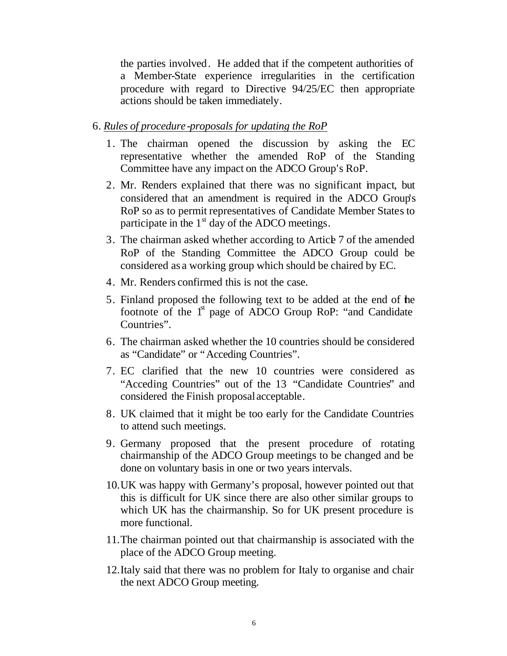the parties involved. He added that if the competent authorities of a Member-State experience irregularities in the certification procedure with regard to Directive 94/25/EC then appropriate actions should be taken immediately.

#### 6. *Rules of procedure-proposals for updating the RoP*

- 1. The chairman opened the discussion by asking the EC representative whether the amended RoP of the Standing Committee have any impact on the ADCO Group's RoP.
- 2. Mr. Renders explained that there was no significant impact, but considered that an amendment is required in the ADCO Group's RoP so as to permit representatives of Candidate Member States to participate in the  $1<sup>st</sup>$  day of the ADCO meetings.
- 3. The chairman asked whether according to Article 7 of the amended RoP of the Standing Committee the ADCO Group could be considered as a working group which should be chaired by EC.
- 4. Mr. Renders confirmed this is not the case.
- 5. Finland proposed the following text to be added at the end of the footnote of the 1<sup>st</sup> page of ADCO Group RoP: "and Candidate Countries".
- 6. The chairman asked whether the 10 countries should be considered as "Candidate" or "Acceding Countries".
- 7. EC clarified that the new 10 countries were considered as "Acceding Countries" out of the 13 "Candidate Countries" and considered the Finish proposal acceptable.
- 8. UK claimed that it might be too early for the Candidate Countries to attend such meetings.
- 9. Germany proposed that the present procedure of rotating chairmanship of the ADCO Group meetings to be changed and be done on voluntary basis in one or two years intervals.
- 10.UK was happy with Germany's proposal, however pointed out that this is difficult for UK since there are also other similar groups to which UK has the chairmanship. So for UK present procedure is more functional.
- 11.The chairman pointed out that chairmanship is associated with the place of the ADCO Group meeting.
- 12.Italy said that there was no problem for Italy to organise and chair the next ADCO Group meeting.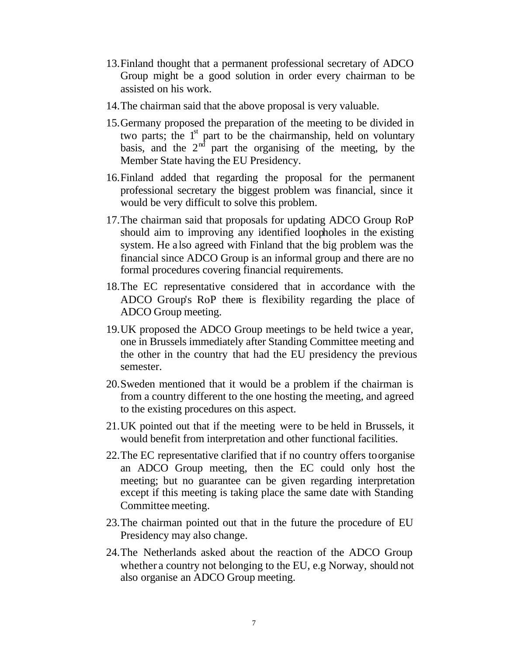- 13.Finland thought that a permanent professional secretary of ADCO Group might be a good solution in order every chairman to be assisted on his work.
- 14.The chairman said that the above proposal is very valuable.
- 15.Germany proposed the preparation of the meeting to be divided in two parts; the  $1<sup>st</sup>$  part to be the chairmanship, held on voluntary basis, and the  $2<sup>nd</sup>$  part the organising of the meeting, by the Member State having the EU Presidency.
- 16.Finland added that regarding the proposal for the permanent professional secretary the biggest problem was financial, since it would be very difficult to solve this problem.
- 17.The chairman said that proposals for updating ADCO Group RoP should aim to improving any identified loopholes in the existing system. He a lso agreed with Finland that the big problem was the financial since ADCO Group is an informal group and there are no formal procedures covering financial requirements.
- 18.The EC representative considered that in accordance with the ADCO Group's RoP there is flexibility regarding the place of ADCO Group meeting.
- 19.UK proposed the ADCO Group meetings to be held twice a year, one in Brussels immediately after Standing Committee meeting and the other in the country that had the EU presidency the previous semester.
- 20.Sweden mentioned that it would be a problem if the chairman is from a country different to the one hosting the meeting, and agreed to the existing procedures on this aspect.
- 21.UK pointed out that if the meeting were to be held in Brussels, it would benefit from interpretation and other functional facilities.
- 22.The EC representative clarified that if no country offers to organise an ADCO Group meeting, then the EC could only host the meeting; but no guarantee can be given regarding interpretation except if this meeting is taking place the same date with Standing Committee meeting.
- 23.The chairman pointed out that in the future the procedure of EU Presidency may also change.
- 24.The Netherlands asked about the reaction of the ADCO Group whether a country not belonging to the EU, e.g Norway, should not also organise an ADCO Group meeting.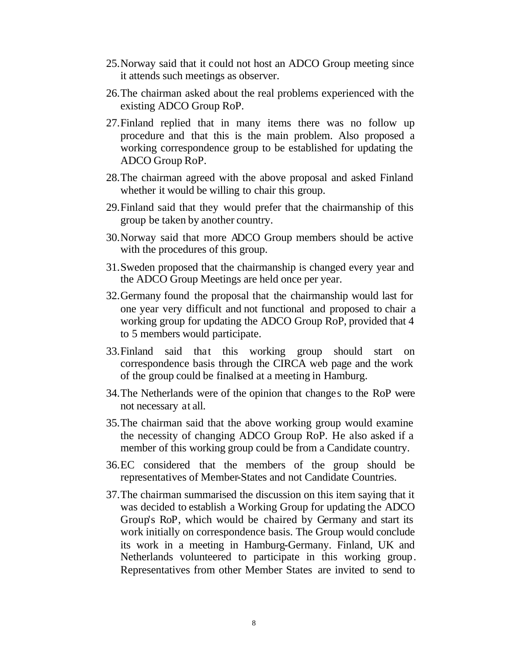- 25.Norway said that it could not host an ADCO Group meeting since it attends such meetings as observer.
- 26.The chairman asked about the real problems experienced with the existing ADCO Group RoP.
- 27.Finland replied that in many items there was no follow up procedure and that this is the main problem. Also proposed a working correspondence group to be established for updating the ADCO Group RoP.
- 28.The chairman agreed with the above proposal and asked Finland whether it would be willing to chair this group.
- 29.Finland said that they would prefer that the chairmanship of this group be taken by another country.
- 30.Norway said that more ADCO Group members should be active with the procedures of this group.
- 31.Sweden proposed that the chairmanship is changed every year and the ADCO Group Meetings are held once per year.
- 32.Germany found the proposal that the chairmanship would last for one year very difficult and not functional and proposed to chair a working group for updating the ADCO Group RoP, provided that 4 to 5 members would participate.
- 33.Finland said that this working group should start on correspondence basis through the CIRCA web page and the work of the group could be finalised at a meeting in Hamburg.
- 34.The Netherlands were of the opinion that changes to the RoP were not necessary at all.
- 35.The chairman said that the above working group would examine the necessity of changing ADCO Group RoP. He also asked if a member of this working group could be from a Candidate country.
- 36.EC considered that the members of the group should be representatives of Member-States and not Candidate Countries.
- 37.The chairman summarised the discussion on this item saying that it was decided to establish a Working Group for updating the ADCO Group's RoP, which would be chaired by Germany and start its work initially on correspondence basis. The Group would conclude its work in a meeting in Hamburg-Germany. Finland, UK and Netherlands volunteered to participate in this working group. Representatives from other Member States are invited to send to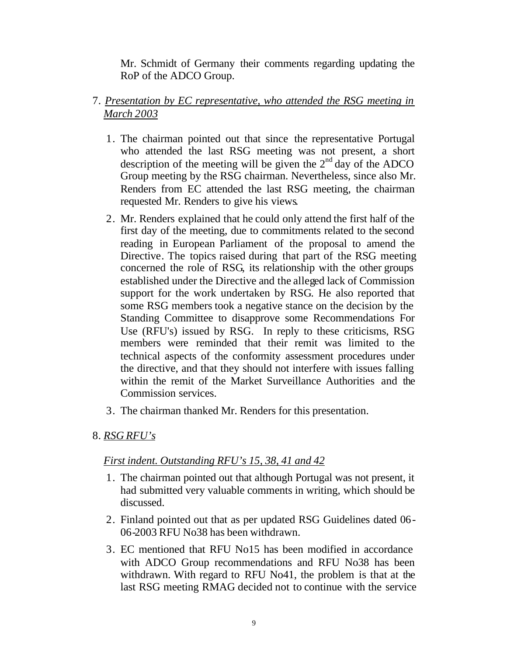Mr. Schmidt of Germany their comments regarding updating the RoP of the ADCO Group.

### 7. *Presentation by EC representative, who attended the RSG meeting in March 2003*

- 1. The chairman pointed out that since the representative Portugal who attended the last RSG meeting was not present, a short description of the meeting will be given the  $2<sup>nd</sup>$  day of the ADCO Group meeting by the RSG chairman. Nevertheless, since also Mr. Renders from EC attended the last RSG meeting, the chairman requested Mr. Renders to give his views.
- 2. Mr. Renders explained that he could only attend the first half of the first day of the meeting, due to commitments related to the second reading in European Parliament of the proposal to amend the Directive. The topics raised during that part of the RSG meeting concerned the role of RSG, its relationship with the other groups established under the Directive and the alleged lack of Commission support for the work undertaken by RSG. He also reported that some RSG members took a negative stance on the decision by the Standing Committee to disapprove some Recommendations For Use (RFU's) issued by RSG. In reply to these criticisms, RSG members were reminded that their remit was limited to the technical aspects of the conformity assessment procedures under the directive, and that they should not interfere with issues falling within the remit of the Market Surveillance Authorities and the Commission services.
- 3. The chairman thanked Mr. Renders for this presentation.

#### 8. *RSG RFU's*

#### *First indent. Outstanding RFU's 15, 38, 41 and 42*

- 1. The chairman pointed out that although Portugal was not present, it had submitted very valuable comments in writing, which should be discussed.
- 2. Finland pointed out that as per updated RSG Guidelines dated 06- 06-2003 RFU No38 has been withdrawn.
- 3. EC mentioned that RFU No15 has been modified in accordance with ADCO Group recommendations and RFU No38 has been withdrawn. With regard to RFU No41, the problem is that at the last RSG meeting RMAG decided not to continue with the service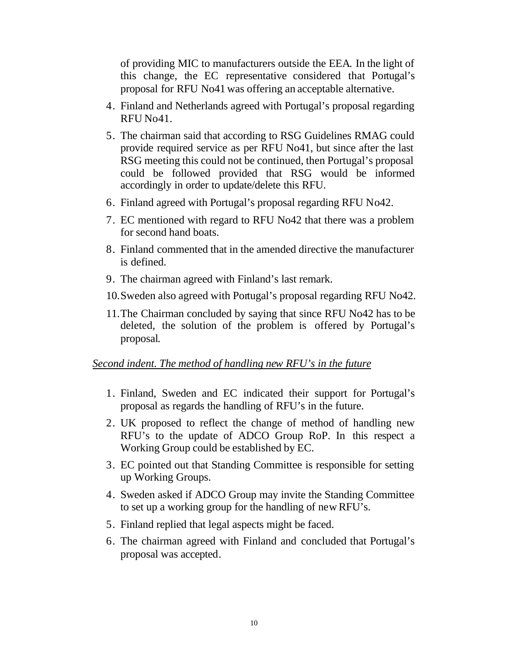of providing MIC to manufacturers outside the EEA. In the light of this change, the EC representative considered that Portugal's proposal for RFU No41 was offering an acceptable alternative.

- 4. Finland and Netherlands agreed with Portugal's proposal regarding RFU No41.
- 5. The chairman said that according to RSG Guidelines RMAG could provide required service as per RFU No41, but since after the last RSG meeting this could not be continued, then Portugal's proposal could be followed provided that RSG would be informed accordingly in order to update/delete this RFU.
- 6. Finland agreed with Portugal's proposal regarding RFU No42.
- 7. EC mentioned with regard to RFU No42 that there was a problem for second hand boats.
- 8. Finland commented that in the amended directive the manufacturer is defined.
- 9. The chairman agreed with Finland's last remark.
- 10.Sweden also agreed with Portugal's proposal regarding RFU No42.
- 11.The Chairman concluded by saying that since RFU No42 has to be deleted, the solution of the problem is offered by Portugal's proposal.

#### *Second indent. The method of handling new RFU's in the future*

- 1. Finland, Sweden and EC indicated their support for Portugal's proposal as regards the handling of RFU's in the future.
- 2. UK proposed to reflect the change of method of handling new RFU's to the update of ADCO Group RoP. In this respect a Working Group could be established by EC.
- 3. EC pointed out that Standing Committee is responsible for setting up Working Groups.
- 4. Sweden asked if ADCO Group may invite the Standing Committee to set up a working group for the handling of new RFU's.
- 5. Finland replied that legal aspects might be faced.
- 6. The chairman agreed with Finland and concluded that Portugal's proposal was accepted.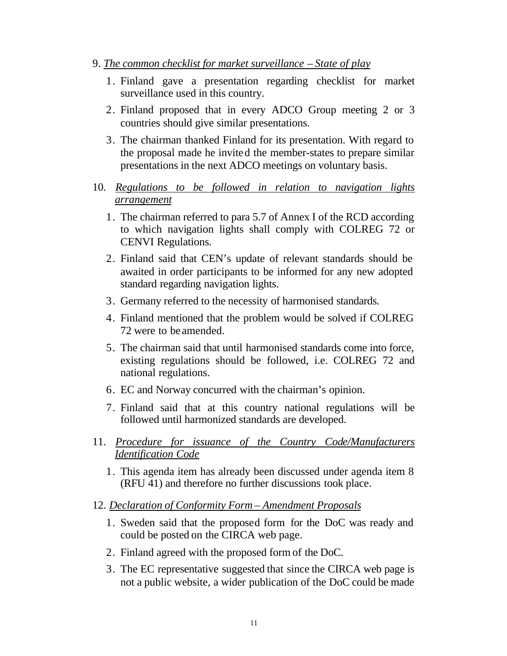- 9. *The common checklist for market surveillance State of play*
	- 1. Finland gave a presentation regarding checklist for market surveillance used in this country.
	- 2. Finland proposed that in every ADCO Group meeting 2 or 3 countries should give similar presentations.
	- 3. The chairman thanked Finland for its presentation. With regard to the proposal made he invited the member-states to prepare similar presentations in the next ADCO meetings on voluntary basis.
- 10. *Regulations to be followed in relation to navigation lights arrangement*
	- 1. The chairman referred to para 5.7 of Annex I of the RCD according to which navigation lights shall comply with COLREG 72 or CENVI Regulations.
	- 2. Finland said that CEN's update of relevant standards should be awaited in order participants to be informed for any new adopted standard regarding navigation lights.
	- 3. Germany referred to the necessity of harmonised standards.
	- 4. Finland mentioned that the problem would be solved if COLREG 72 were to be amended.
	- 5. The chairman said that until harmonised standards come into force, existing regulations should be followed, i.e. COLREG 72 and national regulations.
	- 6. EC and Norway concurred with the chairman's opinion.
	- 7. Finland said that at this country national regulations will be followed until harmonized standards are developed.
- 11. *Procedure for issuance of the Country Code/Manufacturers Identification Code*
	- 1. This agenda item has already been discussed under agenda item 8 (RFU 41) and therefore no further discussions took place.
- 12. *Declaration of Conformity Form Amendment Proposals*
	- 1. Sweden said that the proposed form for the DoC was ready and could be posted on the CIRCA web page.
	- 2. Finland agreed with the proposed form of the DoC.
	- 3. The EC representative suggested that since the CIRCA web page is not a public website, a wider publication of the DoC could be made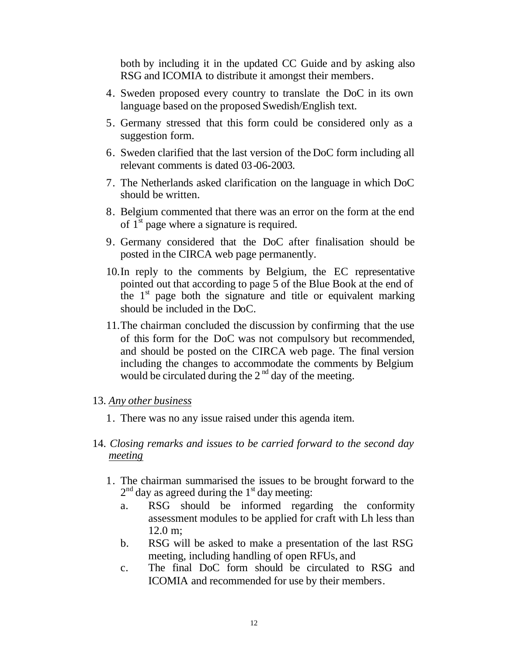both by including it in the updated CC Guide and by asking also RSG and ICOMIA to distribute it amongst their members.

- 4. Sweden proposed every country to translate the DoC in its own language based on the proposed Swedish/English text.
- 5. Germany stressed that this form could be considered only as a suggestion form.
- 6. Sweden clarified that the last version of the DoC form including all relevant comments is dated 03-06-2003.
- 7. The Netherlands asked clarification on the language in which DoC should be written.
- 8. Belgium commented that there was an error on the form at the end of  $1<sup>st</sup>$  page where a signature is required.
- 9. Germany considered that the DoC after finalisation should be posted in the CIRCA web page permanently.
- 10.In reply to the comments by Belgium, the EC representative pointed out that according to page 5 of the Blue Book at the end of the  $1<sup>st</sup>$  page both the signature and title or equivalent marking should be included in the DoC.
- 11.The chairman concluded the discussion by confirming that the use of this form for the DoC was not compulsory but recommended, and should be posted on the CIRCA web page. The final version including the changes to accommodate the comments by Belgium would be circulated during the  $2<sup>nd</sup>$  day of the meeting.

#### 13. *Any other business*

- 1. There was no any issue raised under this agenda item.
- 14. *Closing remarks and issues to be carried forward to the second day meeting*
	- 1. The chairman summarised the issues to be brought forward to the  $2<sup>nd</sup>$  day as agreed during the 1<sup>st</sup> day meeting:
		- a. RSG should be informed regarding the conformity assessment modules to be applied for craft with Lh less than 12.0 m;
		- b. RSG will be asked to make a presentation of the last RSG meeting, including handling of open RFUs, and
		- c. The final DoC form should be circulated to RSG and ICOMIA and recommended for use by their members.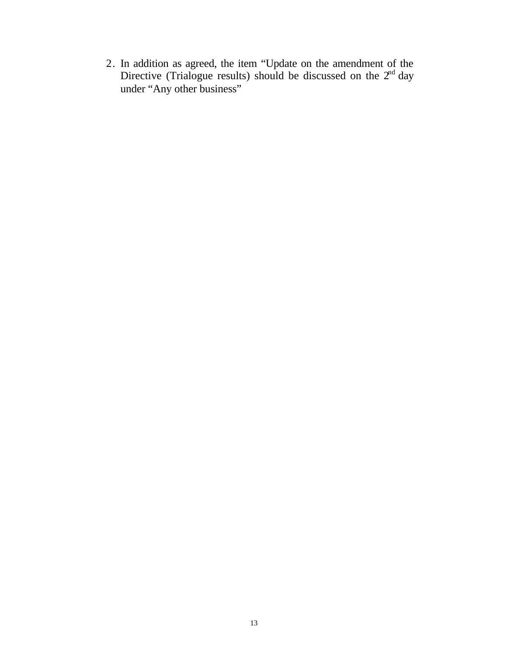2. In addition as agreed, the item "Update on the amendment of the Directive (Trialogue results) should be discussed on the  $2<sup>nd</sup>$  day under "Any other business"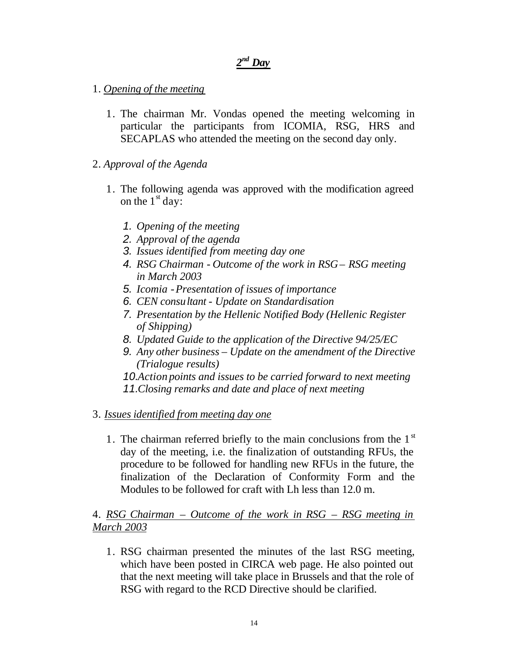## *2 nd Day*

- 1. *Opening of the meeting*
	- 1. The chairman Mr. Vondas opened the meeting welcoming in particular the participants from ICOMIA, RSG, HRS and SECAPLAS who attended the meeting on the second day only.
- 2. *Approval of the Agenda*
	- 1. The following agenda was approved with the modification agreed on the  $1<sup>st</sup>$  day:
		- *1. Opening of the meeting*
		- *2. Approval of the agenda*
		- *3. Issues identified from meeting day one*
		- *4. RSG Chairman Outcome of the work in RSG RSG meeting in March 2003*
		- *5. Icomia Presentation of issues of importance*
		- *6. CEN consultant Update on Standardisation*
		- *7. Presentation by the Hellenic Notified Body (Hellenic Register of Shipping)*
		- *8. Updated Guide to the application of the Directive 94/25/EC*
		- *9. Any other business Update on the amendment of the Directive (Trialogue results)*

*10.Action points and issues to be carried forward to next meeting 11.Closing remarks and date and place of next meeting*

- 3. *Issues identified from meeting day one*
	- 1. The chairman referred briefly to the main conclusions from the  $1<sup>st</sup>$ day of the meeting, i.e. the finalization of outstanding RFUs, the procedure to be followed for handling new RFUs in the future, the finalization of the Declaration of Conformity Form and the Modules to be followed for craft with Lh less than 12.0 m.

### 4. *RSG Chairman – Outcome of the work in RSG – RSG meeting in March 2003*

1. RSG chairman presented the minutes of the last RSG meeting, which have been posted in CIRCA web page. He also pointed out that the next meeting will take place in Brussels and that the role of RSG with regard to the RCD Directive should be clarified.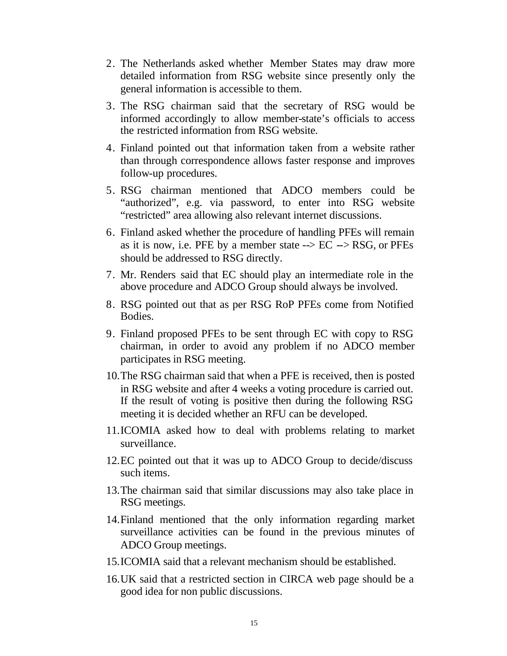- 2. The Netherlands asked whether Member States may draw more detailed information from RSG website since presently only the general information is accessible to them.
- 3. The RSG chairman said that the secretary of RSG would be informed accordingly to allow member-state's officials to access the restricted information from RSG website.
- 4. Finland pointed out that information taken from a website rather than through correspondence allows faster response and improves follow-up procedures.
- 5. RSG chairman mentioned that ADCO members could be "authorized", e.g. via password, to enter into RSG website "restricted" area allowing also relevant internet discussions.
- 6. Finland asked whether the procedure of handling PFEs will remain as it is now, i.e. PFE by a member state  $\rightarrow$  EC  $\rightarrow$  RSG, or PFEs should be addressed to RSG directly.
- 7. Mr. Renders said that EC should play an intermediate role in the above procedure and ADCO Group should always be involved.
- 8. RSG pointed out that as per RSG RoP PFEs come from Notified Bodies.
- 9. Finland proposed PFEs to be sent through EC with copy to RSG chairman, in order to avoid any problem if no ADCO member participates in RSG meeting.
- 10.The RSG chairman said that when a PFE is received, then is posted in RSG website and after 4 weeks a voting procedure is carried out. If the result of voting is positive then during the following RSG meeting it is decided whether an RFU can be developed.
- 11.ICOMIA asked how to deal with problems relating to market surveillance.
- 12.EC pointed out that it was up to ADCO Group to decide/discuss such items.
- 13.The chairman said that similar discussions may also take place in RSG meetings.
- 14.Finland mentioned that the only information regarding market surveillance activities can be found in the previous minutes of ADCO Group meetings.
- 15.ICOMIA said that a relevant mechanism should be established.
- 16.UK said that a restricted section in CIRCA web page should be a good idea for non public discussions.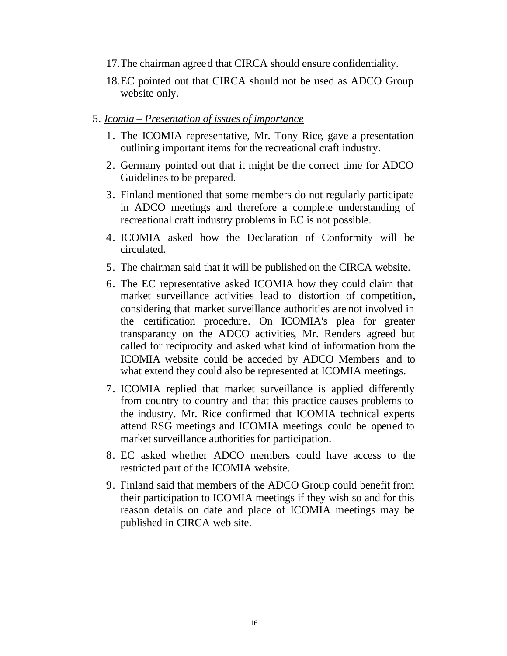- 17.The chairman agreed that CIRCA should ensure confidentiality.
- 18.EC pointed out that CIRCA should not be used as ADCO Group website only.

#### 5. *Icomia – Presentation of issues of importance*

- 1. The ICOMIA representative, Mr. Tony Rice, gave a presentation outlining important items for the recreational craft industry.
- 2. Germany pointed out that it might be the correct time for ADCO Guidelines to be prepared.
- 3. Finland mentioned that some members do not regularly participate in ADCO meetings and therefore a complete understanding of recreational craft industry problems in EC is not possible.
- 4. ICOMIA asked how the Declaration of Conformity will be circulated.
- 5. The chairman said that it will be published on the CIRCA website.
- 6. The EC representative asked ICOMIA how they could claim that market surveillance activities lead to distortion of competition, considering that market surveillance authorities are not involved in the certification procedure. On ICOMIA's plea for greater transparancy on the ADCO activities, Mr. Renders agreed but called for reciprocity and asked what kind of information from the ICOMIA website could be acceded by ADCO Members and to what extend they could also be represented at ICOMIA meetings.
- 7. ICOMIA replied that market surveillance is applied differently from country to country and that this practice causes problems to the industry. Mr. Rice confirmed that ICOMIA technical experts attend RSG meetings and ICOMIA meetings could be opened to market surveillance authorities for participation.
- 8. EC asked whether ADCO members could have access to the restricted part of the ICOMIA website.
- 9. Finland said that members of the ADCO Group could benefit from their participation to ICOMIA meetings if they wish so and for this reason details on date and place of ICOMIA meetings may be published in CIRCA web site.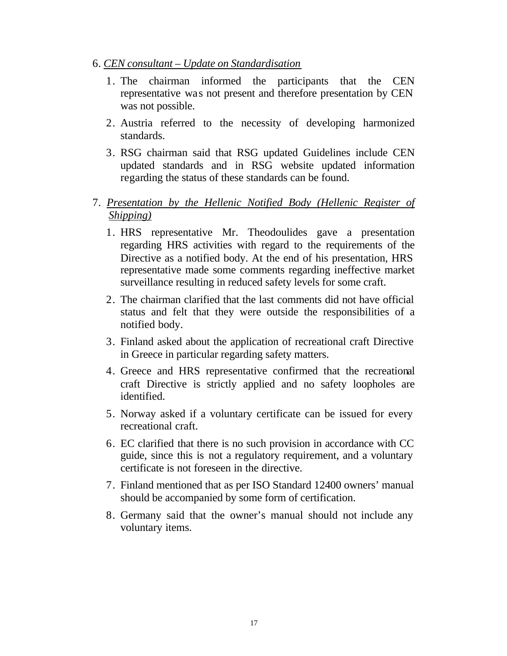- 6. *CEN consultant Update on Standardisation*
	- 1. The chairman informed the participants that the CEN representative was not present and therefore presentation by CEN was not possible.
	- 2. Austria referred to the necessity of developing harmonized standards.
	- 3. RSG chairman said that RSG updated Guidelines include CEN updated standards and in RSG website updated information regarding the status of these standards can be found.
- 7. *Presentation by the Hellenic Notified Body (Hellenic Register of Shipping)*
	- 1. HRS representative Mr. Theodoulides gave a presentation regarding HRS activities with regard to the requirements of the Directive as a notified body. At the end of his presentation, HRS representative made some comments regarding ineffective market surveillance resulting in reduced safety levels for some craft.
	- 2. The chairman clarified that the last comments did not have official status and felt that they were outside the responsibilities of a notified body.
	- 3. Finland asked about the application of recreational craft Directive in Greece in particular regarding safety matters.
	- 4. Greece and HRS representative confirmed that the recreational craft Directive is strictly applied and no safety loopholes are identified.
	- 5. Norway asked if a voluntary certificate can be issued for every recreational craft.
	- 6. EC clarified that there is no such provision in accordance with CC guide, since this is not a regulatory requirement, and a voluntary certificate is not foreseen in the directive.
	- 7. Finland mentioned that as per ISO Standard 12400 owners' manual should be accompanied by some form of certification.
	- 8. Germany said that the owner's manual should not include any voluntary items.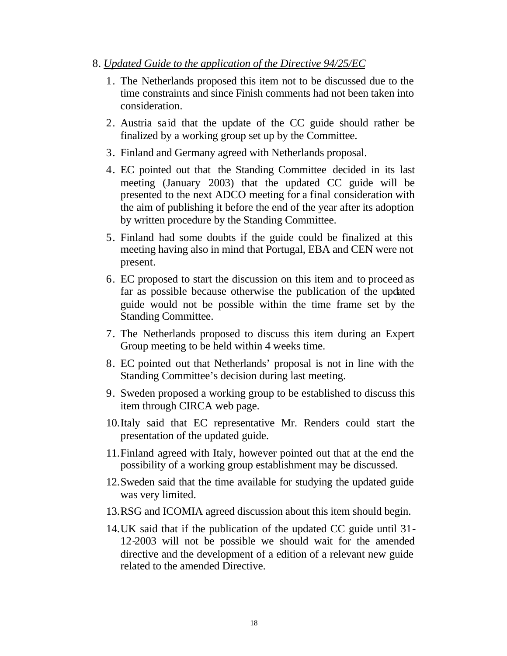- 8. *Updated Guide to the application of the Directive 94/25/EC*
	- 1. The Netherlands proposed this item not to be discussed due to the time constraints and since Finish comments had not been taken into consideration.
	- 2. Austria said that the update of the CC guide should rather be finalized by a working group set up by the Committee.
	- 3. Finland and Germany agreed with Netherlands proposal.
	- 4. EC pointed out that the Standing Committee decided in its last meeting (January 2003) that the updated CC guide will be presented to the next ADCO meeting for a final consideration with the aim of publishing it before the end of the year after its adoption by written procedure by the Standing Committee.
	- 5. Finland had some doubts if the guide could be finalized at this meeting having also in mind that Portugal, EBA and CEN were not present.
	- 6. EC proposed to start the discussion on this item and to proceed as far as possible because otherwise the publication of the updated guide would not be possible within the time frame set by the Standing Committee.
	- 7. The Netherlands proposed to discuss this item during an Expert Group meeting to be held within 4 weeks time.
	- 8. EC pointed out that Netherlands' proposal is not in line with the Standing Committee's decision during last meeting.
	- 9. Sweden proposed a working group to be established to discuss this item through CIRCA web page.
	- 10.Italy said that EC representative Mr. Renders could start the presentation of the updated guide.
	- 11.Finland agreed with Italy, however pointed out that at the end the possibility of a working group establishment may be discussed.
	- 12.Sweden said that the time available for studying the updated guide was very limited.
	- 13.RSG and ICOMIA agreed discussion about this item should begin.
	- 14.UK said that if the publication of the updated CC guide until 31- 12-2003 will not be possible we should wait for the amended directive and the development of a edition of a relevant new guide related to the amended Directive.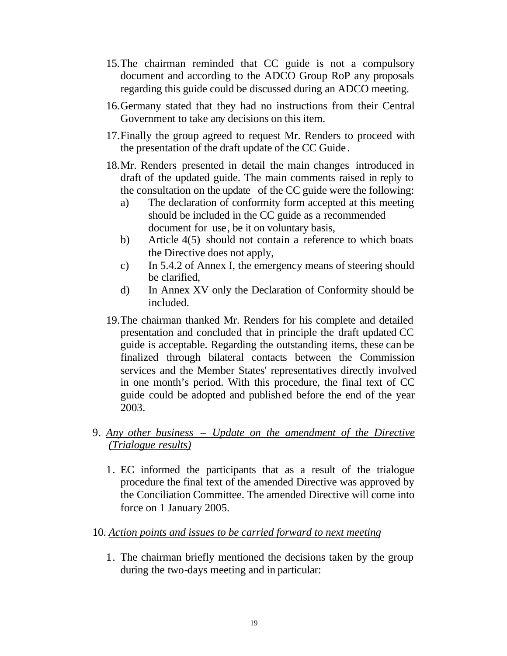- 15.The chairman reminded that CC guide is not a compulsory document and according to the ADCO Group RoP any proposals regarding this guide could be discussed during an ADCO meeting.
- 16.Germany stated that they had no instructions from their Central Government to take any decisions on this item.
- 17.Finally the group agreed to request Mr. Renders to proceed with the presentation of the draft update of the CC Guide.
- 18.Mr. Renders presented in detail the main changes introduced in draft of the updated guide. The main comments raised in reply to the consultation on the update of the CC guide were the following:
	- a) The declaration of conformity form accepted at this meeting should be included in the CC guide as a recommended document for use, be it on voluntary basis,
	- b) Article 4(5) should not contain a reference to which boats the Directive does not apply,
	- c) In 5.4.2 of Annex I, the emergency means of steering should be clarified,
	- d) In Annex XV only the Declaration of Conformity should be included.
- 19.The chairman thanked Mr. Renders for his complete and detailed presentation and concluded that in principle the draft updated CC guide is acceptable. Regarding the outstanding items, these can be finalized through bilateral contacts between the Commission services and the Member States' representatives directly involved in one month's period. With this procedure, the final text of CC guide could be adopted and published before the end of the year 2003.
- 9. *Any other business Update on the amendment of the Directive (Trialogue results)*
	- 1. EC informed the participants that as a result of the trialogue procedure the final text of the amended Directive was approved by the Conciliation Committee. The amended Directive will come into force on 1 January 2005.
- 10. *Action points and issues to be carried forward to next meeting*
	- 1. The chairman briefly mentioned the decisions taken by the group during the two-days meeting and in particular: